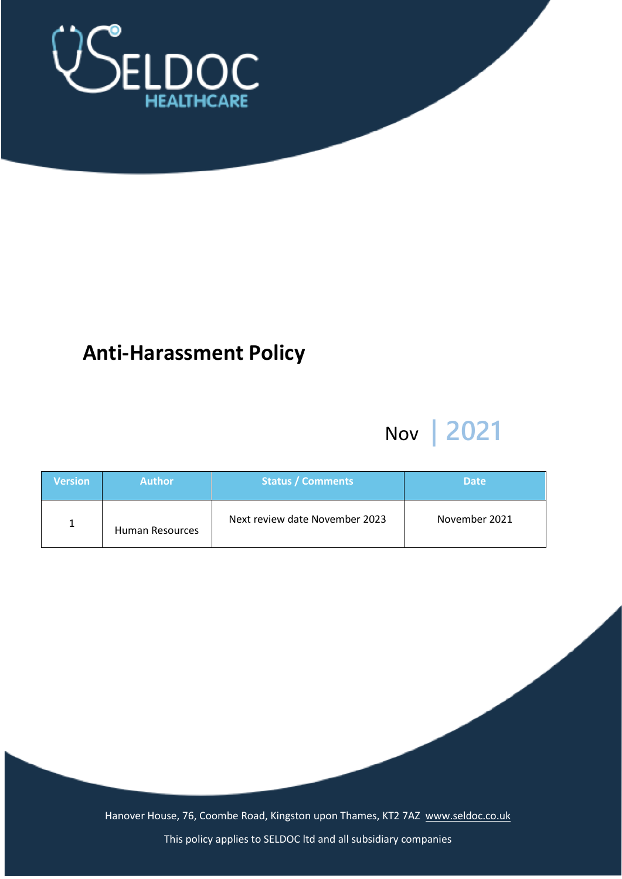

# **Anti-Harassment Policy**

# Nov **| 2021**

| <b>Version</b> | 'Author         | <b>Status / Comments</b>       | <b>Date</b>   |
|----------------|-----------------|--------------------------------|---------------|
|                | Human Resources | Next review date November 2023 | November 2021 |

Hanover House, 76, Coombe Road, Kingston upon Thames, KT2 7AZ [www.seldoc.co.uk](http://www.seldoc.co.uk/)

This policy applies to SELDOC ltd and all subsidiary companies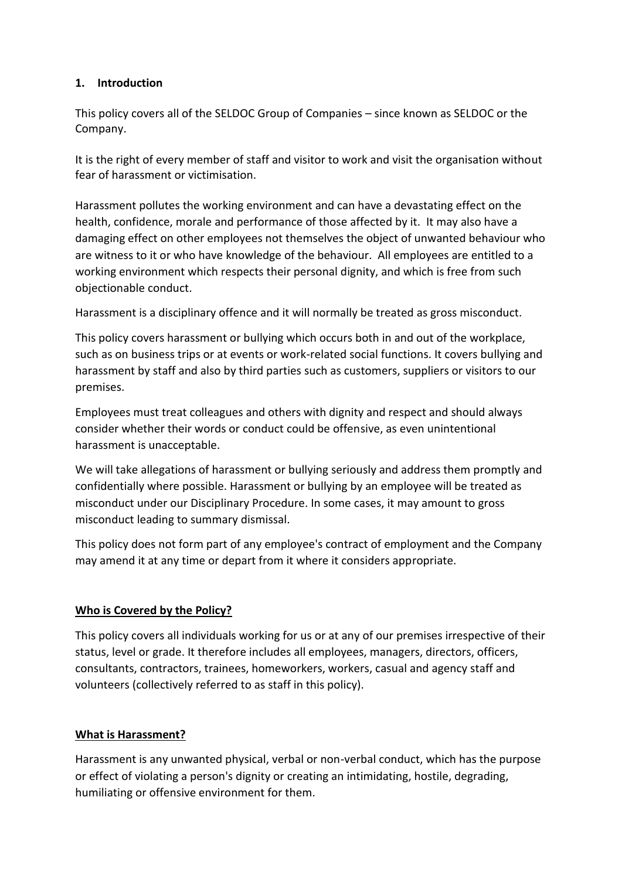# **1. Introduction**

This policy covers all of the SELDOC Group of Companies – since known as SELDOC or the Company.

It is the right of every member of staff and visitor to work and visit the organisation without fear of harassment or victimisation.

Harassment pollutes the working environment and can have a devastating effect on the health, confidence, morale and performance of those affected by it. It may also have a damaging effect on other employees not themselves the object of unwanted behaviour who are witness to it or who have knowledge of the behaviour. All employees are entitled to a working environment which respects their personal dignity, and which is free from such objectionable conduct.

Harassment is a disciplinary offence and it will normally be treated as gross misconduct.

This policy covers harassment or bullying which occurs both in and out of the workplace, such as on business trips or at events or work-related social functions. It covers bullying and harassment by staff and also by third parties such as customers, suppliers or visitors to our premises.

Employees must treat colleagues and others with dignity and respect and should always consider whether their words or conduct could be offensive, as even unintentional harassment is unacceptable.

We will take allegations of harassment or bullying seriously and address them promptly and confidentially where possible. Harassment or bullying by an employee will be treated as misconduct under our Disciplinary Procedure. In some cases, it may amount to gross misconduct leading to summary dismissal.

This policy does not form part of any employee's contract of employment and the Company may amend it at any time or depart from it where it considers appropriate.

# **Who is Covered by the Policy?**

This policy covers all individuals working for us or at any of our premises irrespective of their status, level or grade. It therefore includes all employees, managers, directors, officers, consultants, contractors, trainees, homeworkers, workers, casual and agency staff and volunteers (collectively referred to as staff in this policy).

## **What is Harassment?**

Harassment is any unwanted physical, verbal or non-verbal conduct, which has the purpose or effect of violating a person's dignity or creating an intimidating, hostile, degrading, humiliating or offensive environment for them.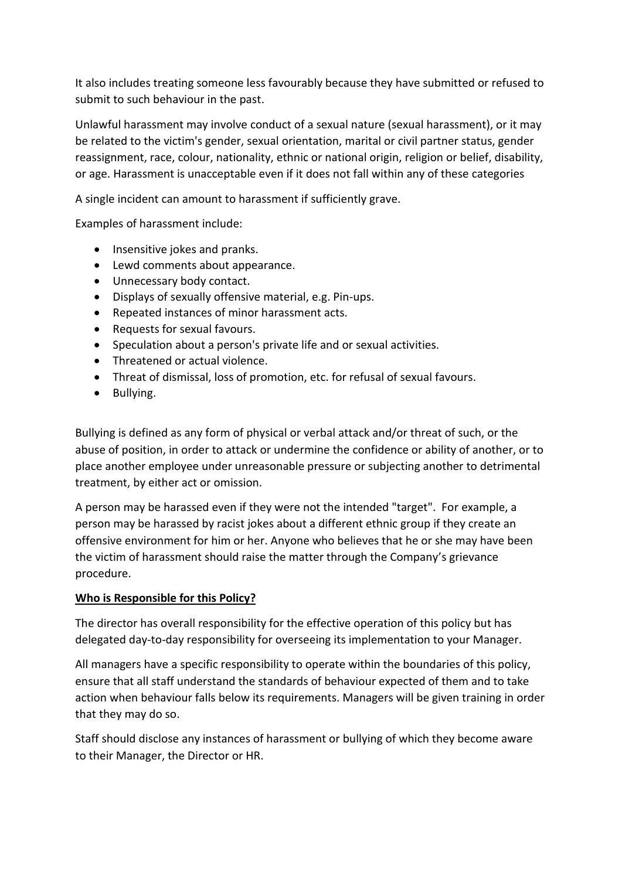It also includes treating someone less favourably because they have submitted or refused to submit to such behaviour in the past.

Unlawful harassment may involve conduct of a sexual nature (sexual harassment), or it may be related to the victim's gender, sexual orientation, marital or civil partner status, gender reassignment, race, colour, nationality, ethnic or national origin, religion or belief, disability, or age. Harassment is unacceptable even if it does not fall within any of these categories

A single incident can amount to harassment if sufficiently grave.

Examples of harassment include:

- Insensitive jokes and pranks.
- Lewd comments about appearance.
- Unnecessary body contact.
- Displays of sexually offensive material, e.g. Pin-ups.
- Repeated instances of minor harassment acts.
- Requests for sexual favours.
- Speculation about a person's private life and or sexual activities.
- Threatened or actual violence.
- Threat of dismissal, loss of promotion, etc. for refusal of sexual favours.
- Bullying.

Bullying is defined as any form of physical or verbal attack and/or threat of such, or the abuse of position, in order to attack or undermine the confidence or ability of another, or to place another employee under unreasonable pressure or subjecting another to detrimental treatment, by either act or omission.

A person may be harassed even if they were not the intended "target". For example, a person may be harassed by racist jokes about a different ethnic group if they create an offensive environment for him or her. Anyone who believes that he or she may have been the victim of harassment should raise the matter through the Company's grievance procedure.

#### **Who is Responsible for this Policy?**

The director has overall responsibility for the effective operation of this policy but has delegated day-to-day responsibility for overseeing its implementation to your Manager.

All managers have a specific responsibility to operate within the boundaries of this policy, ensure that all staff understand the standards of behaviour expected of them and to take action when behaviour falls below its requirements. Managers will be given training in order that they may do so.

Staff should disclose any instances of harassment or bullying of which they become aware to their Manager, the Director or HR.